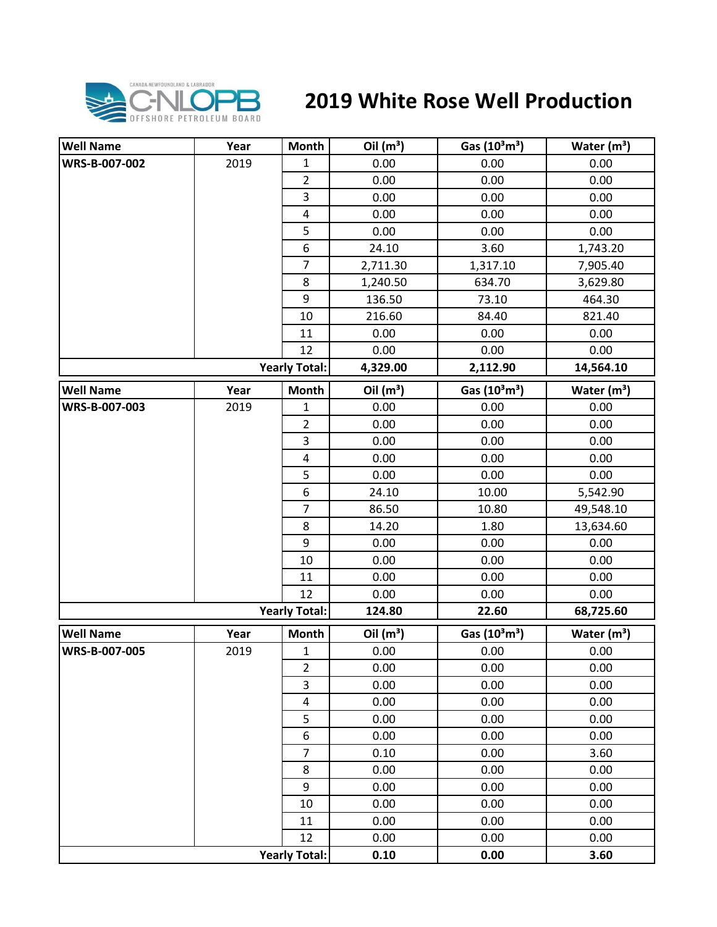

## **2019 White Rose Well Production**

| <b>Well Name</b> | Year | Month                   | Oil $(m^3)$ | Gas $(10^3 \text{m}^3)$               | Water $(m^3)$ |
|------------------|------|-------------------------|-------------|---------------------------------------|---------------|
| WRS-B-007-002    | 2019 | 1                       | 0.00        | 0.00                                  | 0.00          |
|                  |      | $\overline{\mathbf{c}}$ | 0.00        | 0.00                                  | 0.00          |
|                  |      | 3                       | 0.00        | 0.00                                  | 0.00          |
|                  |      | $\overline{4}$          | 0.00        | 0.00                                  | 0.00          |
|                  |      | 5                       | 0.00        | 0.00                                  | 0.00          |
|                  |      | 6                       | 24.10       | 3.60                                  | 1,743.20      |
|                  |      | $\overline{7}$          | 2,711.30    | 1,317.10                              | 7,905.40      |
|                  |      | 8                       | 1,240.50    | 634.70                                | 3,629.80      |
|                  |      | $\boldsymbol{9}$        | 136.50      | 73.10                                 | 464.30        |
|                  |      | 10                      | 216.60      | 84.40                                 | 821.40        |
|                  |      | 11                      | 0.00        | 0.00                                  | 0.00          |
|                  |      | 12                      | 0.00        | 0.00                                  | 0.00          |
|                  |      | <b>Yearly Total:</b>    | 4,329.00    | 2,112.90                              | 14,564.10     |
| <b>Well Name</b> | Year | <b>Month</b>            | Oil $(m^3)$ | Gas (10 <sup>3</sup> m <sup>3</sup> ) | Water $(m^3)$ |
| WRS-B-007-003    | 2019 | 1                       | 0.00        | 0.00                                  | 0.00          |
|                  |      | $\overline{2}$          | 0.00        | 0.00                                  | 0.00          |
|                  |      | 3                       | 0.00        | 0.00                                  | 0.00          |
|                  |      | $\overline{4}$          | 0.00        | 0.00                                  | 0.00          |
|                  |      | 5                       | 0.00        | 0.00                                  | 0.00          |
|                  |      | $\boldsymbol{6}$        | 24.10       | 10.00                                 | 5,542.90      |
|                  |      | $\overline{7}$          | 86.50       | 10.80                                 | 49,548.10     |
|                  |      | 8                       | 14.20       | 1.80                                  | 13,634.60     |
|                  |      | 9                       | 0.00        | 0.00                                  | 0.00          |
|                  |      | 10                      | 0.00        | 0.00                                  | 0.00          |
|                  |      | 11                      | 0.00        | 0.00                                  | 0.00          |
|                  |      | 12                      | 0.00        | 0.00                                  | 0.00          |
|                  |      | <b>Yearly Total:</b>    | 124.80      | 22.60                                 | 68,725.60     |
| <b>Well Name</b> | Year | <b>Month</b>            | Oil $(m^3)$ | Gas $(10^3 \text{m}^3)$               | Water $(m^3)$ |
| WRS-B-007-005    | 2019 | $\mathbf{1}$            | 0.00        | 0.00                                  | 0.00          |
|                  |      | $\overline{2}$          | 0.00        | 0.00                                  | 0.00          |
|                  |      | 3                       | 0.00        | 0.00                                  | 0.00          |
|                  |      | $\pmb{4}$               | 0.00        | 0.00                                  | 0.00          |
|                  |      | 5                       | 0.00        | 0.00                                  | 0.00          |
|                  |      | $\boldsymbol{6}$        | 0.00        | 0.00                                  | 0.00          |
|                  |      | $\overline{7}$          | 0.10        | 0.00                                  | 3.60          |
|                  |      | 8                       | 0.00        | 0.00                                  | 0.00          |
|                  |      | 9                       | 0.00        | 0.00                                  | 0.00          |
|                  |      | 10                      | 0.00        | 0.00                                  | 0.00          |
|                  |      | 11                      | 0.00        | 0.00                                  | 0.00          |
|                  |      | 12                      | 0.00        | 0.00                                  | 0.00          |
|                  |      | <b>Yearly Total:</b>    | 0.10        | 0.00                                  | 3.60          |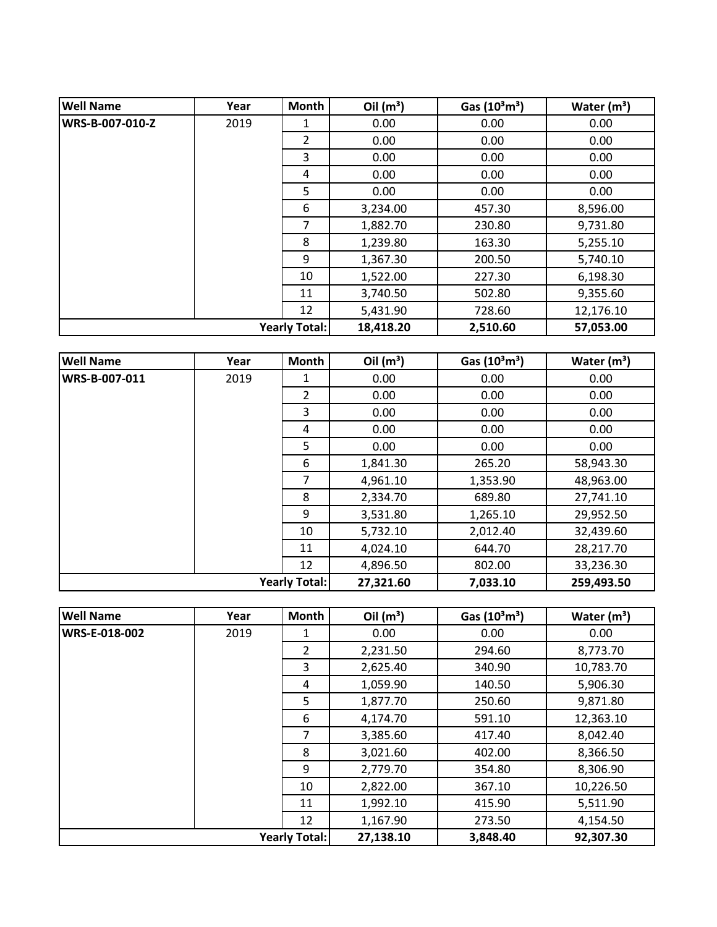| <b>Well Name</b>     | Year | <b>Month</b>   | Oil $(m^3)$ | Gas $(10^3 \text{m}^3)$ | Water $(m^3)$ |
|----------------------|------|----------------|-------------|-------------------------|---------------|
| WRS-B-007-010-Z      | 2019 | 1              | 0.00        | 0.00                    | 0.00          |
|                      |      | $\overline{2}$ | 0.00        | 0.00                    | 0.00          |
|                      |      | 3              | 0.00        | 0.00                    | 0.00          |
|                      |      | 4              | 0.00        | 0.00                    | 0.00          |
|                      |      | 5              | 0.00        | 0.00                    | 0.00          |
|                      |      | 6              | 3,234.00    | 457.30                  | 8,596.00      |
|                      |      | 7              | 1,882.70    | 230.80                  | 9,731.80      |
|                      |      | 8              | 1,239.80    | 163.30                  | 5,255.10      |
|                      |      | 9              | 1,367.30    | 200.50                  | 5,740.10      |
|                      |      | 10             | 1,522.00    | 227.30                  | 6,198.30      |
|                      |      | 11             | 3,740.50    | 502.80                  | 9,355.60      |
|                      |      | 12             | 5,431.90    | 728.60                  | 12,176.10     |
| <b>Yearly Total:</b> |      | 18,418.20      | 2,510.60    | 57,053.00               |               |

| <b>Well Name</b> | Year | <b>Month</b>         | Oil $(m^3)$ | Gas $(10^3 \text{m}^3)$ | Water $(m^3)$ |
|------------------|------|----------------------|-------------|-------------------------|---------------|
| WRS-B-007-011    | 2019 | 1                    | 0.00        | 0.00                    | 0.00          |
|                  |      | $\overline{2}$       | 0.00        | 0.00                    | 0.00          |
|                  |      | 3                    | 0.00        | 0.00                    | 0.00          |
|                  |      | 4                    | 0.00        | 0.00                    | 0.00          |
|                  |      | 5                    | 0.00        | 0.00                    | 0.00          |
|                  |      | 6                    | 1,841.30    | 265.20                  | 58,943.30     |
|                  |      | 7                    | 4,961.10    | 1,353.90                | 48,963.00     |
|                  |      | 8                    | 2,334.70    | 689.80                  | 27,741.10     |
|                  |      | 9                    | 3,531.80    | 1,265.10                | 29,952.50     |
|                  |      | 10                   | 5,732.10    | 2,012.40                | 32,439.60     |
|                  |      | 11                   | 4,024.10    | 644.70                  | 28,217.70     |
|                  |      | 12                   | 4,896.50    | 802.00                  | 33,236.30     |
|                  |      | <b>Yearly Total:</b> | 27,321.60   | 7,033.10                | 259,493.50    |

| <b>Well Name</b> | Year | <b>Month</b>         | Oil $(m^3)$ | Gas $(10^3 \text{m}^3)$ | Water $(m^3)$ |
|------------------|------|----------------------|-------------|-------------------------|---------------|
| WRS-E-018-002    | 2019 | 1                    | 0.00        | 0.00                    | 0.00          |
|                  |      | $\overline{2}$       | 2,231.50    | 294.60                  | 8,773.70      |
|                  |      | 3                    | 2,625.40    | 340.90                  | 10,783.70     |
|                  |      | 4                    | 1,059.90    | 140.50                  | 5,906.30      |
|                  |      | 5                    | 1,877.70    | 250.60                  | 9,871.80      |
|                  |      | 6                    | 4,174.70    | 591.10                  | 12,363.10     |
|                  |      | 7                    | 3,385.60    | 417.40                  | 8,042.40      |
|                  |      | 8                    | 3,021.60    | 402.00                  | 8,366.50      |
|                  |      | 9                    | 2,779.70    | 354.80                  | 8,306.90      |
|                  |      | 10                   | 2,822.00    | 367.10                  | 10,226.50     |
|                  |      | 11                   | 1,992.10    | 415.90                  | 5,511.90      |
|                  |      | 12                   | 1,167.90    | 273.50                  | 4,154.50      |
|                  |      | <b>Yearly Total:</b> | 27,138.10   | 3,848.40                | 92,307.30     |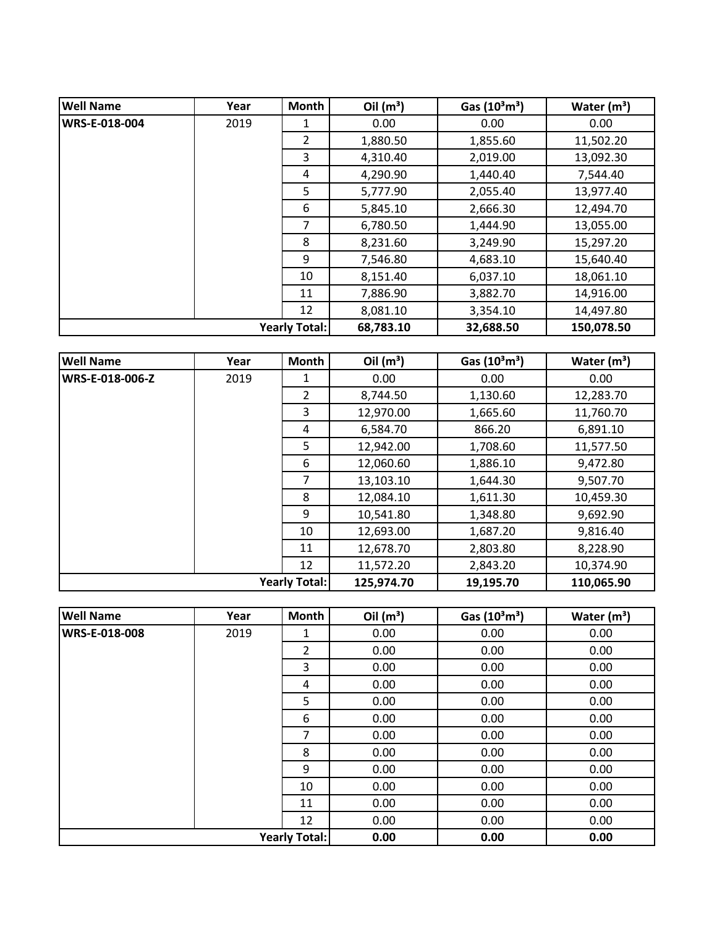| <b>Well Name</b> | Year | Month                | Oil $(m^3)$ | Gas $(10^3 \text{m}^3)$ | Water $(m^3)$ |
|------------------|------|----------------------|-------------|-------------------------|---------------|
| WRS-E-018-004    | 2019 | 1                    | 0.00        | 0.00                    | 0.00          |
|                  |      | $\overline{2}$       | 1,880.50    | 1,855.60                | 11,502.20     |
|                  |      | 3                    | 4,310.40    | 2,019.00                | 13,092.30     |
|                  |      | 4                    | 4,290.90    | 1,440.40                | 7,544.40      |
|                  |      | 5                    | 5,777.90    | 2,055.40                | 13,977.40     |
|                  |      | 6                    | 5,845.10    | 2,666.30                | 12,494.70     |
|                  |      | 7                    | 6,780.50    | 1,444.90                | 13,055.00     |
|                  |      | 8                    | 8,231.60    | 3,249.90                | 15,297.20     |
|                  |      | 9                    | 7,546.80    | 4,683.10                | 15,640.40     |
|                  |      | 10                   | 8,151.40    | 6,037.10                | 18,061.10     |
|                  |      | 11                   | 7,886.90    | 3,882.70                | 14,916.00     |
|                  |      | 12                   | 8,081.10    | 3,354.10                | 14,497.80     |
|                  |      | <b>Yearly Total:</b> | 68,783.10   | 32,688.50               | 150,078.50    |

| <b>Well Name</b> | Year | Month                | Oil $(m^3)$ | Gas $(10^3 \text{m}^3)$ | Water $(m^3)$ |
|------------------|------|----------------------|-------------|-------------------------|---------------|
| WRS-E-018-006-Z  | 2019 | 1                    | 0.00        | 0.00                    | 0.00          |
|                  |      | 2                    | 8,744.50    | 1,130.60                | 12,283.70     |
|                  |      | 3                    | 12,970.00   | 1,665.60                | 11,760.70     |
|                  |      | 4                    | 6,584.70    | 866.20                  | 6,891.10      |
|                  |      | 5                    | 12,942.00   | 1,708.60                | 11,577.50     |
|                  |      | 6                    | 12,060.60   | 1,886.10                | 9,472.80      |
|                  |      | 7                    | 13,103.10   | 1,644.30                | 9,507.70      |
|                  |      | 8                    | 12,084.10   | 1,611.30                | 10,459.30     |
|                  |      | 9                    | 10,541.80   | 1,348.80                | 9,692.90      |
|                  |      | 10                   | 12,693.00   | 1,687.20                | 9,816.40      |
|                  |      | 11                   | 12,678.70   | 2,803.80                | 8,228.90      |
|                  |      | 12                   | 11,572.20   | 2,843.20                | 10,374.90     |
|                  |      | <b>Yearly Total:</b> | 125,974.70  | 19,195.70               | 110,065.90    |

| <b>Well Name</b>     | Year | Month                | Oil $(m^3)$ | Gas $(10^3 \text{m}^3)$ | Water $(m^3)$ |
|----------------------|------|----------------------|-------------|-------------------------|---------------|
| <b>WRS-E-018-008</b> | 2019 | 1                    | 0.00        | 0.00                    | 0.00          |
|                      |      | 2                    | 0.00        | 0.00                    | 0.00          |
|                      |      | 3                    | 0.00        | 0.00                    | 0.00          |
|                      |      | 4                    | 0.00        | 0.00                    | 0.00          |
|                      |      | 5                    | 0.00        | 0.00                    | 0.00          |
|                      |      | 6                    | 0.00        | 0.00                    | 0.00          |
|                      |      | 7                    | 0.00        | 0.00                    | 0.00          |
|                      |      | 8                    | 0.00        | 0.00                    | 0.00          |
|                      |      | 9                    | 0.00        | 0.00                    | 0.00          |
|                      |      | 10                   | 0.00        | 0.00                    | 0.00          |
|                      |      | 11                   | 0.00        | 0.00                    | 0.00          |
|                      |      | 12                   | 0.00        | 0.00                    | 0.00          |
|                      |      | <b>Yearly Total:</b> | 0.00        | 0.00                    | 0.00          |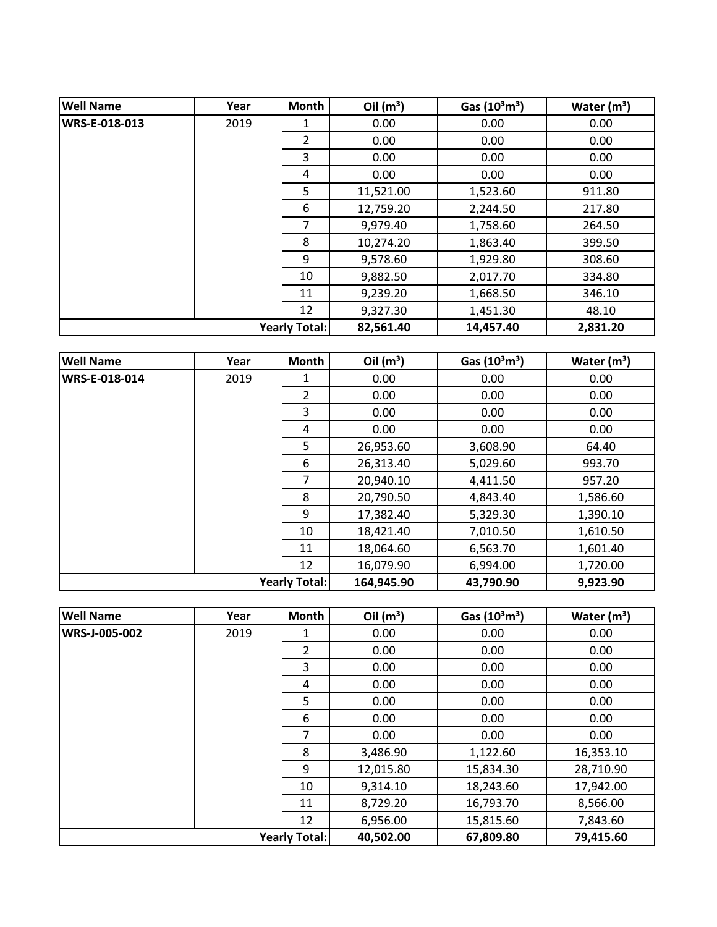| <b>Well Name</b> | Year | Month                | Oil $(m^3)$ | Gas $(10^3 \text{m}^3)$ | Water $(m^3)$ |
|------------------|------|----------------------|-------------|-------------------------|---------------|
| WRS-E-018-013    | 2019 | 1                    | 0.00        | 0.00                    | 0.00          |
|                  |      | $\overline{2}$       | 0.00        | 0.00                    | 0.00          |
|                  |      | 3                    | 0.00        | 0.00                    | 0.00          |
|                  |      | 4                    | 0.00        | 0.00                    | 0.00          |
|                  |      | 5                    | 11,521.00   | 1,523.60                | 911.80        |
|                  |      | 6                    | 12,759.20   | 2,244.50                | 217.80        |
|                  |      | 7                    | 9,979.40    | 1,758.60                | 264.50        |
|                  |      | 8                    | 10,274.20   | 1,863.40                | 399.50        |
|                  |      | 9                    | 9,578.60    | 1,929.80                | 308.60        |
|                  |      | 10                   | 9,882.50    | 2,017.70                | 334.80        |
|                  |      | 11                   | 9,239.20    | 1,668.50                | 346.10        |
|                  |      | 12                   | 9,327.30    | 1,451.30                | 48.10         |
|                  |      | <b>Yearly Total:</b> | 82,561.40   | 14,457.40               | 2,831.20      |

| <b>Well Name</b> | Year | Month                | Oil $(m^3)$ | Gas $(10^3 \text{m}^3)$ | Water $(m^3)$ |
|------------------|------|----------------------|-------------|-------------------------|---------------|
| WRS-E-018-014    | 2019 | 1                    | 0.00        | 0.00                    | 0.00          |
|                  |      | $\overline{2}$       | 0.00        | 0.00                    | 0.00          |
|                  |      | 3                    | 0.00        | 0.00                    | 0.00          |
|                  |      | 4                    | 0.00        | 0.00                    | 0.00          |
|                  |      | 5                    | 26,953.60   | 3,608.90                | 64.40         |
|                  |      | 6                    | 26,313.40   | 5,029.60                | 993.70        |
|                  |      | 7                    | 20,940.10   | 4,411.50                | 957.20        |
|                  |      | 8                    | 20,790.50   | 4,843.40                | 1,586.60      |
|                  |      | 9                    | 17,382.40   | 5,329.30                | 1,390.10      |
|                  |      | 10                   | 18,421.40   | 7,010.50                | 1,610.50      |
|                  |      | 11                   | 18,064.60   | 6,563.70                | 1,601.40      |
|                  |      | 12                   | 16,079.90   | 6,994.00                | 1,720.00      |
|                  |      | <b>Yearly Total:</b> | 164,945.90  | 43,790.90               | 9,923.90      |

| <b>Well Name</b>     | Year | Month                | Oil $(m^3)$ | Gas $(10^3 \text{m}^3)$ | Water $(m^3)$ |
|----------------------|------|----------------------|-------------|-------------------------|---------------|
| <b>WRS-J-005-002</b> | 2019 | 1                    | 0.00        | 0.00                    | 0.00          |
|                      |      | $\overline{2}$       | 0.00        | 0.00                    | 0.00          |
|                      |      | 3                    | 0.00        | 0.00                    | 0.00          |
|                      |      | 4                    | 0.00        | 0.00                    | 0.00          |
|                      |      | 5                    | 0.00        | 0.00                    | 0.00          |
|                      |      | 6                    | 0.00        | 0.00                    | 0.00          |
|                      |      | 7                    | 0.00        | 0.00                    | 0.00          |
|                      |      | 8                    | 3,486.90    | 1,122.60                | 16,353.10     |
|                      |      | 9                    | 12,015.80   | 15,834.30               | 28,710.90     |
|                      |      | 10                   | 9,314.10    | 18,243.60               | 17,942.00     |
|                      |      | 11                   | 8,729.20    | 16,793.70               | 8,566.00      |
|                      |      | 12                   | 6,956.00    | 15,815.60               | 7,843.60      |
|                      |      | <b>Yearly Total:</b> | 40,502.00   | 67,809.80               | 79,415.60     |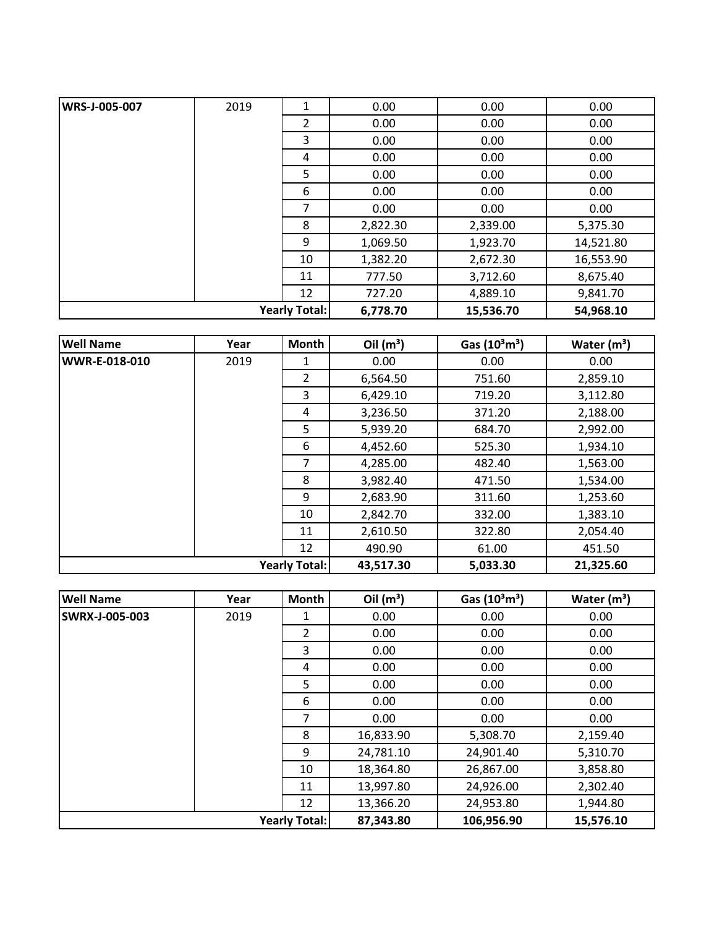| <b>Yearly Total:</b> |      | 6,778.70 | 15,536.70 | 54,968.10 |           |
|----------------------|------|----------|-----------|-----------|-----------|
|                      |      | 12       | 727.20    | 4,889.10  | 9,841.70  |
|                      |      | 11       | 777.50    | 3,712.60  | 8,675.40  |
|                      |      | 10       | 1,382.20  | 2,672.30  | 16,553.90 |
|                      |      | 9        | 1,069.50  | 1,923.70  | 14,521.80 |
|                      |      | 8        | 2,822.30  | 2,339.00  | 5,375.30  |
|                      |      | 7        | 0.00      | 0.00      | 0.00      |
|                      |      | 6        | 0.00      | 0.00      | 0.00      |
|                      |      | 5        | 0.00      | 0.00      | 0.00      |
|                      |      | 4        | 0.00      | 0.00      | 0.00      |
|                      |      | 3        | 0.00      | 0.00      | 0.00      |
|                      |      | 2        | 0.00      | 0.00      | 0.00      |
| WRS-J-005-007        | 2019 | 1        | 0.00      | 0.00      | 0.00      |

| <b>Well Name</b>     | Year | Month | Oil $(m^3)$ | Gas (10 <sup>3</sup> m <sup>3</sup> ) | Water $(m^3)$ |
|----------------------|------|-------|-------------|---------------------------------------|---------------|
| WWR-E-018-010        | 2019 | 1     | 0.00        | 0.00                                  | 0.00          |
|                      |      | 2     | 6,564.50    | 751.60                                | 2,859.10      |
|                      |      | 3     | 6,429.10    | 719.20                                | 3,112.80      |
|                      |      | 4     | 3,236.50    | 371.20                                | 2,188.00      |
|                      |      | 5     | 5,939.20    | 684.70                                | 2,992.00      |
|                      |      | 6     | 4,452.60    | 525.30                                | 1,934.10      |
|                      |      | 7     | 4,285.00    | 482.40                                | 1,563.00      |
|                      |      | 8     | 3,982.40    | 471.50                                | 1,534.00      |
|                      |      | 9     | 2,683.90    | 311.60                                | 1,253.60      |
|                      |      | 10    | 2,842.70    | 332.00                                | 1,383.10      |
|                      |      | 11    | 2,610.50    | 322.80                                | 2,054.40      |
|                      |      | 12    | 490.90      | 61.00                                 | 451.50        |
| <b>Yearly Total:</b> |      |       | 43,517.30   | 5,033.30                              | 21,325.60     |

| <b>Well Name</b>      | Year | <b>Month</b>   | Oil $(m^3)$ | Gas $(10^3 \text{m}^3)$ | Water $(m^3)$ |
|-----------------------|------|----------------|-------------|-------------------------|---------------|
| <b>SWRX-J-005-003</b> | 2019 | 1              | 0.00        | 0.00                    | 0.00          |
|                       |      | $\overline{2}$ | 0.00        | 0.00                    | 0.00          |
|                       |      | 3              | 0.00        | 0.00                    | 0.00          |
|                       |      | 4              | 0.00        | 0.00                    | 0.00          |
|                       |      | 5              | 0.00        | 0.00                    | 0.00          |
|                       |      | 6              | 0.00        | 0.00                    | 0.00          |
|                       |      | 7              | 0.00        | 0.00                    | 0.00          |
|                       |      | 8              | 16,833.90   | 5,308.70                | 2,159.40      |
|                       |      | 9              | 24,781.10   | 24,901.40               | 5,310.70      |
|                       |      | 10             | 18,364.80   | 26,867.00               | 3,858.80      |
|                       |      | 11             | 13,997.80   | 24,926.00               | 2,302.40      |
|                       |      | 12             | 13,366.20   | 24,953.80               | 1,944.80      |
| <b>Yearly Total:</b>  |      | 87,343.80      | 106,956.90  | 15,576.10               |               |